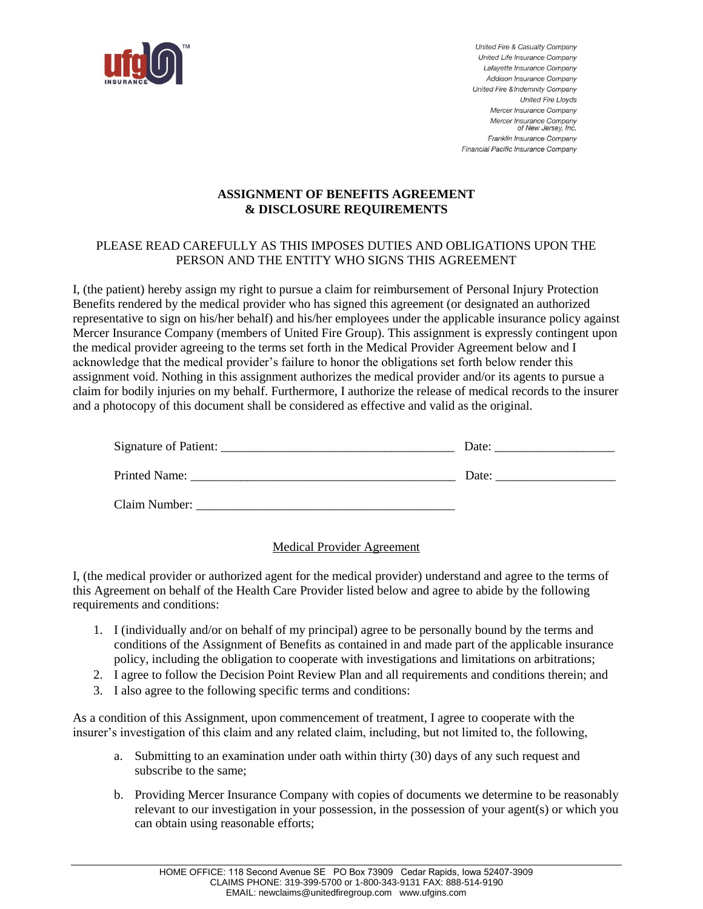

United Fire & Casualty Company United Life Insurance Company Lafavette Insurance Company Addison Insurance Company United Fire & Indemnity Company **United Fire Lloyds** Mercer Insurance Company Mercer Insurance Company of New Jersey, Inc. Franklin Insurance Company Financial Pacific Insurance Company

## **ASSIGNMENT OF BENEFITS AGREEMENT & DISCLOSURE REQUIREMENTS**

## PLEASE READ CAREFULLY AS THIS IMPOSES DUTIES AND OBLIGATIONS UPON THE PERSON AND THE ENTITY WHO SIGNS THIS AGREEMENT

I, (the patient) hereby assign my right to pursue a claim for reimbursement of Personal Injury Protection Benefits rendered by the medical provider who has signed this agreement (or designated an authorized representative to sign on his/her behalf) and his/her employees under the applicable insurance policy against Mercer Insurance Company (members of United Fire Group). This assignment is expressly contingent upon the medical provider agreeing to the terms set forth in the Medical Provider Agreement below and I acknowledge that the medical provider's failure to honor the obligations set forth below render this assignment void. Nothing in this assignment authorizes the medical provider and/or its agents to pursue a claim for bodily injuries on my behalf. Furthermore, I authorize the release of medical records to the insurer and a photocopy of this document shall be considered as effective and valid as the original.

|               | Date: |
|---------------|-------|
| Printed Name: | Date: |
| Claim Number: |       |

## Medical Provider Agreement

I, (the medical provider or authorized agent for the medical provider) understand and agree to the terms of this Agreement on behalf of the Health Care Provider listed below and agree to abide by the following requirements and conditions:

- 1. I (individually and/or on behalf of my principal) agree to be personally bound by the terms and conditions of the Assignment of Benefits as contained in and made part of the applicable insurance policy, including the obligation to cooperate with investigations and limitations on arbitrations;
- 2. I agree to follow the Decision Point Review Plan and all requirements and conditions therein; and
- 3. I also agree to the following specific terms and conditions:

As a condition of this Assignment, upon commencement of treatment, I agree to cooperate with the insurer's investigation of this claim and any related claim, including, but not limited to, the following,

- a. Submitting to an examination under oath within thirty (30) days of any such request and subscribe to the same;
- b. Providing Mercer Insurance Company with copies of documents we determine to be reasonably relevant to our investigation in your possession, in the possession of your agent(s) or which you can obtain using reasonable efforts;